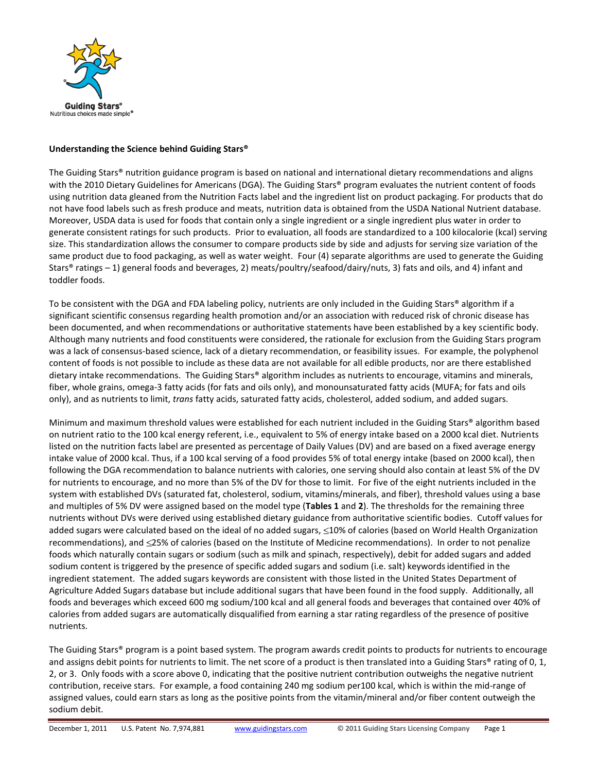

## **Understanding the Science behind Guiding Stars®**

The Guiding Stars® nutrition guidance program is based on national and international dietary recommendations and aligns with the 2010 Dietary Guidelines for Americans (DGA). The Guiding Stars® program evaluates the nutrient content of foods using nutrition data gleaned from the Nutrition Facts label and the ingredient list on product packaging. For products that do not have food labels such as fresh produce and meats, nutrition data is obtained from the USDA National Nutrient database. Moreover, USDA data is used for foods that contain only a single ingredient or a single ingredient plus water in order to generate consistent ratings for such products. Prior to evaluation, all foods are standardized to a 100 kilocalorie (kcal) serving size. This standardization allows the consumer to compare products side by side and adjusts for serving size variation of the same product due to food packaging, as well as water weight. Four (4) separate algorithms are used to generate the Guiding Stars® ratings – 1) general foods and beverages, 2) meats/poultry/seafood/dairy/nuts, 3) fats and oils, and 4) infant and toddler foods.

To be consistent with the DGA and FDA labeling policy, nutrients are only included in the Guiding Stars® algorithm if a significant scientific consensus regarding health promotion and/or an association with reduced risk of chronic disease has been documented, and when recommendations or authoritative statements have been established by a key scientific body. Although many nutrients and food constituents were considered, the rationale for exclusion from the Guiding Stars program was a lack of consensus-based science, lack of a dietary recommendation, or feasibility issues. For example, the polyphenol content of foods is not possible to include as these data are not available for all edible products, nor are there established dietary intake recommendations. The Guiding Stars® algorithm includes as nutrients to encourage, vitamins and minerals, fiber, whole grains, omega-3 fatty acids (for fats and oils only), and monounsaturated fatty acids (MUFA; for fats and oils only), and as nutrients to limit, *trans* fatty acids, saturated fatty acids, cholesterol, added sodium, and added sugars.

Minimum and maximum threshold values were established for each nutrient included in the Guiding Stars® algorithm based on nutrient ratio to the 100 kcal energy referent, i.e., equivalent to 5% of energy intake based on a 2000 kcal diet. Nutrients listed on the nutrition facts label are presented as percentage of Daily Values (DV) and are based on a fixed average energy intake value of 2000 kcal. Thus, if a 100 kcal serving of a food provides 5% of total energy intake (based on 2000 kcal), then following the DGA recommendation to balance nutrients with calories, one serving should also contain at least 5% of the DV for nutrients to encourage, and no more than 5% of the DV for those to limit. For five of the eight nutrients included in the system with established DVs (saturated fat, cholesterol, sodium, vitamins/minerals, and fiber), threshold values using a base and multiples of 5% DV were assigned based on the model type (**Tables 1** and **2**). The thresholds for the remaining three nutrients without DVs were derived using established dietary guidance from authoritative scientific bodies. Cutoff values for added sugars were calculated based on the ideal of no added sugars,  $\leq$ 10% of calories (based on World Health Organization recommendations), and 25% of calories (based on the Institute of Medicine recommendations). In order to not penalize foods which naturally contain sugars or sodium (such as milk and spinach, respectively), debit for added sugars and added sodium content is triggered by the presence of specific added sugars and sodium (i.e. salt) keywordsidentified in the ingredient statement. The added sugars keywords are consistent with those listed in the United States Department of Agriculture Added Sugars database but include additional sugars that have been found in the food supply. Additionally, all foods and beverages which exceed 600 mg sodium/100 kcal and all general foods and beverages that contained over 40% of calories from added sugars are automatically disqualified from earning a star rating regardless of the presence of positive nutrients.

The Guiding Stars® program is a point based system. The program awards credit points to products for nutrients to encourage and assigns debit points for nutrients to limit. The net score of a product is then translated into a Guiding Stars® rating of 0, 1, 2, or 3. Only foods with a score above 0, indicating that the positive nutrient contribution outweighs the negative nutrient contribution, receive stars. For example, a food containing 240 mg sodium per100 kcal, which is within the mid-range of assigned values, could earn stars as long as the positive points from the vitamin/mineral and/or fiber content outweigh the sodium debit.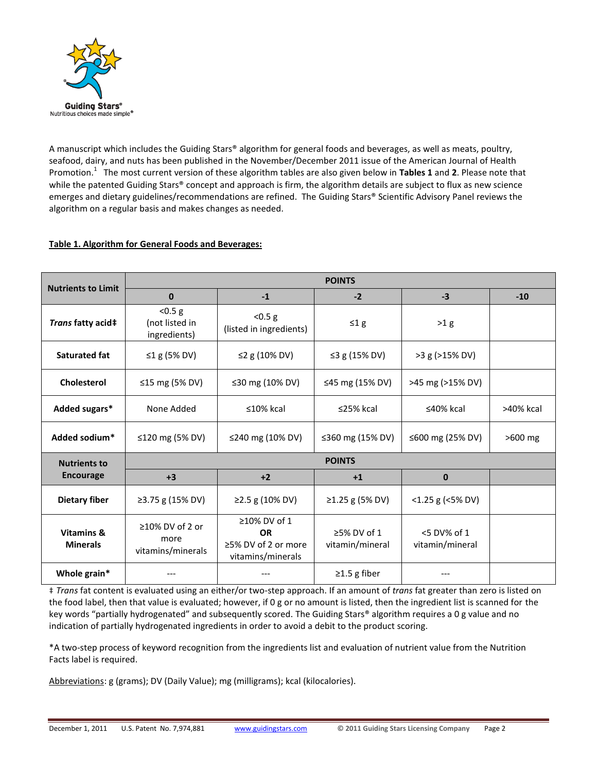

A manuscript which includes the Guiding Stars® algorithm for general foods and beverages, as well as meats, poultry, seafood, dairy, and nuts has been published in the November/December 2011 issue of the American Journal of Health Promotion.<sup>1</sup> The most current version of these algorithm tables are also given below in **Tables 1** and **2**. Please note that while the patented Guiding Stars® concept and approach is firm, the algorithm details are subject to flux as new science emerges and dietary guidelines/recommendations are refined. The Guiding Stars® Scientific Advisory Panel reviews the algorithm on a regular basis and makes changes as needed.

## **Table 1. Algorithm for General Foods and Beverages:**

| <b>Nutrients to Limit</b>               | <b>POINTS</b>                                      |                                                                       |                                      |                                   |           |  |  |
|-----------------------------------------|----------------------------------------------------|-----------------------------------------------------------------------|--------------------------------------|-----------------------------------|-----------|--|--|
|                                         | $\mathbf{0}$                                       | $-1$                                                                  | $-2$                                 | $-3$                              | $-10$     |  |  |
| Trans fatty acid‡                       | < 0.5 g<br>(not listed in<br>ingredients)          | < 0.5 g<br>(listed in ingredients)                                    | $\leq 1$ g                           | >1 g                              |           |  |  |
| <b>Saturated fat</b>                    | ≤1 g (5% DV)                                       | ≤2 g (10% DV)                                                         | ≤3 g (15% DV)                        | >3 g (>15% DV)                    |           |  |  |
| <b>Cholesterol</b>                      | ≤15 mg (5% DV)                                     | ≤30 mg (10% DV)                                                       | ≤45 mg (15% DV)                      | >45 mg (>15% DV)                  |           |  |  |
| Added sugars*                           | None Added                                         | $\leq 10\%$ kcal                                                      | $\leq$ 25% kcal                      | $\leq 40\%$ kcal                  | >40% kcal |  |  |
| Added sodium*                           | ≤120 mg (5% DV)                                    | ≤240 mg (10% DV)                                                      | ≤360 mg (15% DV)                     | ≤600 mg (25% DV)                  | >600 mg   |  |  |
| <b>Nutrients to</b><br><b>Encourage</b> | <b>POINTS</b>                                      |                                                                       |                                      |                                   |           |  |  |
|                                         | $+3$                                               | $+2$                                                                  | $+1$                                 | $\bf{0}$                          |           |  |  |
| <b>Dietary fiber</b>                    | ≥3.75 g (15% DV)                                   | ≥2.5 g (10% DV)                                                       | ≥1.25 g (5% DV)                      | $<$ 1.25 g ( $<$ 5% DV)           |           |  |  |
| Vitamins &<br><b>Minerals</b>           | $\geq$ 10% DV of 2 or<br>more<br>vitamins/minerals | ≥10% DV of 1<br><b>OR</b><br>≥5% DV of 2 or more<br>vitamins/minerals | $\geq$ 5% DV of 1<br>vitamin/mineral | $<$ 5 DV% of 1<br>vitamin/mineral |           |  |  |
| Whole grain*                            |                                                    |                                                                       | $\geq$ 1.5 g fiber                   |                                   |           |  |  |

‡ *Trans* fat content is evaluated using an either/or two-step approach. If an amount of *trans* fat greater than zero is listed on the food label, then that value is evaluated; however, if 0 g or no amount is listed, then the ingredient list is scanned for the key words "partially hydrogenated" and subsequently scored. The Guiding Stars® algorithm requires a 0 g value and no indication of partially hydrogenated ingredients in order to avoid a debit to the product scoring.

\*A two-step process of keyword recognition from the ingredients list and evaluation of nutrient value from the Nutrition Facts label is required.

Abbreviations: g (grams); DV (Daily Value); mg (milligrams); kcal (kilocalories).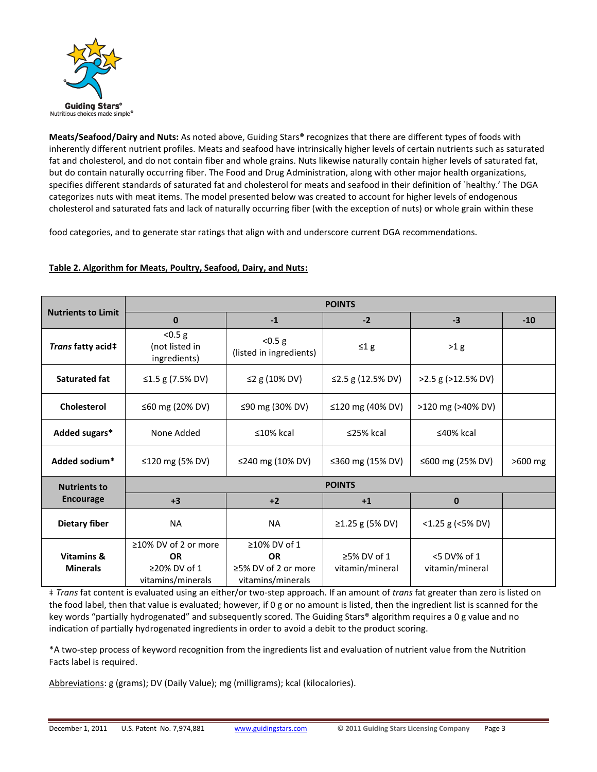

**Meats/Seafood/Dairy and Nuts:** As noted above, Guiding Stars® recognizes that there are different types of foods with inherently different nutrient profiles. Meats and seafood have intrinsically higher levels of certain nutrients such as saturated fat and cholesterol, and do not contain fiber and whole grains. Nuts likewise naturally contain higher levels of saturated fat, but do contain naturally occurring fiber. The Food and Drug Administration, along with other major health organizations, specifies different standards of saturated fat and cholesterol for meats and seafood in their definition of `healthy.' The DGA categorizes nuts with meat items. The model presented below was created to account for higher levels of endogenous cholesterol and saturated fats and lack of naturally occurring fiber (with the exception of nuts) or whole grain within these

food categories, and to generate star ratings that align with and underscore current DGA recommendations.

## **Table 2. Algorithm for Meats, Poultry, Seafood, Dairy, and Nuts:**

| <b>Nutrients to Limit</b>     | <b>POINTS</b>                                                          |                                                                       |                                |                                   |           |  |  |
|-------------------------------|------------------------------------------------------------------------|-----------------------------------------------------------------------|--------------------------------|-----------------------------------|-----------|--|--|
|                               | $\bf{0}$                                                               | $-1$                                                                  | $-2$                           | $-3$                              | $-10$     |  |  |
| Trans fatty acid‡             | < 0.5 g<br>(not listed in<br>ingredients)                              | < 0.5 g<br>(listed in ingredients)                                    | $\leq 1$ g                     | >1 g                              |           |  |  |
| Saturated fat                 | ≤1.5 g (7.5% DV)                                                       | ≤2 g (10% DV)                                                         | ≤2.5 g (12.5% DV)              | $>2.5$ g ( $>12.5\%$ DV)          |           |  |  |
| Cholesterol                   | ≤60 mg (20% DV)                                                        | ≤90 mg (30% DV)                                                       | ≤120 mg (40% DV)               | >120 mg (>40% DV)                 |           |  |  |
| Added sugars*                 | None Added                                                             | $\leq 10\%$ kcal                                                      | $\leq$ 25% kcal                | $\leq 40\%$ kcal                  |           |  |  |
| Added sodium*                 | ≤120 mg (5% DV)                                                        | ≤240 mg (10% DV)                                                      | ≤360 mg (15% DV)               | ≤600 mg (25% DV)                  | $>600$ mg |  |  |
| <b>Nutrients to</b>           | <b>POINTS</b>                                                          |                                                                       |                                |                                   |           |  |  |
| <b>Encourage</b>              | $+3$                                                                   | $+2$                                                                  | $+1$                           | $\mathbf{0}$                      |           |  |  |
| <b>Dietary fiber</b>          | <b>NA</b>                                                              | <b>NA</b>                                                             | ≥1.25 g (5% DV)                | $<$ 1.25 g ( $<$ 5% DV)           |           |  |  |
| Vitamins &<br><b>Minerals</b> | ≥10% DV of 2 or more<br><b>OR</b><br>≥20% DV of 1<br>vitamins/minerals | ≥10% DV of 1<br><b>OR</b><br>≥5% DV of 2 or more<br>vitamins/minerals | ≥5% DV of 1<br>vitamin/mineral | $<$ 5 DV% of 1<br>vitamin/mineral |           |  |  |

‡ *Trans* fat content is evaluated using an either/or two-step approach. If an amount of *trans* fat greater than zero is listed on the food label, then that value is evaluated; however, if 0 g or no amount is listed, then the ingredient list is scanned for the key words "partially hydrogenated" and subsequently scored. The Guiding Stars® algorithm requires a 0 g value and no indication of partially hydrogenated ingredients in order to avoid a debit to the product scoring.

\*A two-step process of keyword recognition from the ingredients list and evaluation of nutrient value from the Nutrition Facts label is required.

Abbreviations: g (grams); DV (Daily Value); mg (milligrams); kcal (kilocalories).